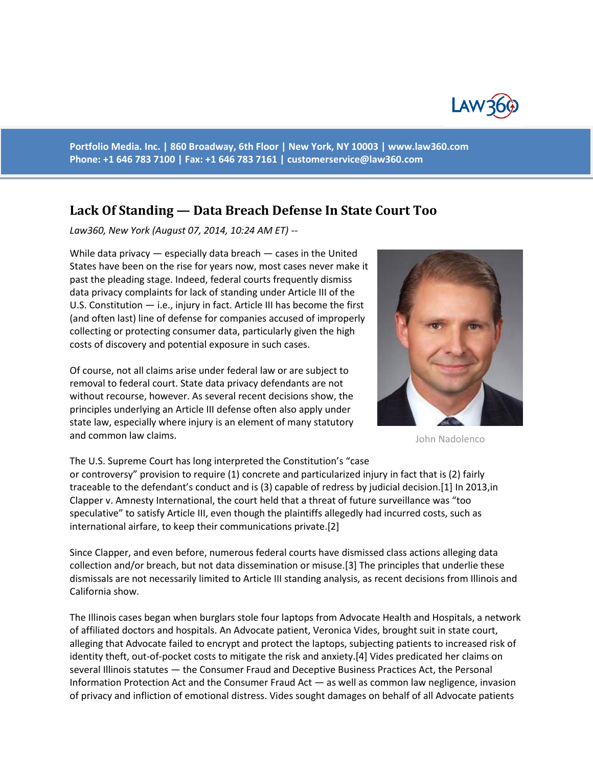

**Portfolio Media. Inc. | 860 Broadway, 6th Floor | New York, NY 10003 | www.law360.com Phone: +1 646 783 7100 | Fax: +1 646 783 7161 | [customerservice@law360.com](mailto:customerservice@law360.com)**

## **Lack Of Standing — Data Breach Defense In State Court Too**

*Law360, New York (August 07, 2014, 10:24 AM ET) --*

While data privacy — especially data breach — cases in the United States have been on the rise for years now, most cases never make it past the pleading stage. Indeed, federal courts frequently dismiss data privacy complaints for lack of standing under Article III of the U.S. Constitution — i.e., injury in fact. Article III has become the first (and often last) line of defense for companies accused of improperly collecting or protecting consumer data, particularly given the high costs of discovery and potential exposure in such cases.

Of course, not all claims arise under federal law or are subject to removal to federal court. State data privacy defendants are not without recourse, however. As several recent decisions show, the principles underlying an Article III defense often also apply under state law, especially where injury is an element of many statutory and common law claims.

The U.S. Supreme Court has long interpreted the Constitution's "case

or controversy" provision to require (1) concrete and particularized injury in fact that is (2) fairly traceable to the defendant's conduct and is (3) capable of redress by judicial decision.[1] In 2013,in Clapper v. Amnesty International, the court held that a threat of future surveillance was "too speculative" to satisfy Article III, even though the plaintiffs allegedly had incurred costs, such as international airfare, to keep their communications private.[2]

Since Clapper, and even before, numerous federal courts have dismissed class actions alleging data collection and/or breach, but not data dissemination or misuse.[3] The principles that underlie these dismissals are not necessarily limited to Article III standing analysis, as recent decisions from Illinois and California show.

The Illinois cases began when burglars stole four laptops from Advocate Health and Hospitals, a network of affiliated doctors and hospitals. An Advocate patient, Veronica Vides, brought suit in state court, alleging that Advocate failed to encrypt and protect the laptops, subjecting patients to increased risk of identity theft, out-of-pocket costs to mitigate the risk and anxiety.[4] Vides predicated her claims on several Illinois statutes — the Consumer Fraud and Deceptive Business Practices Act, the Personal Information Protection Act and the Consumer Fraud Act — as well as common law negligence, invasion of privacy and infliction of emotional distress. Vides sought damages on behalf of all Advocate patients



John Nadolenco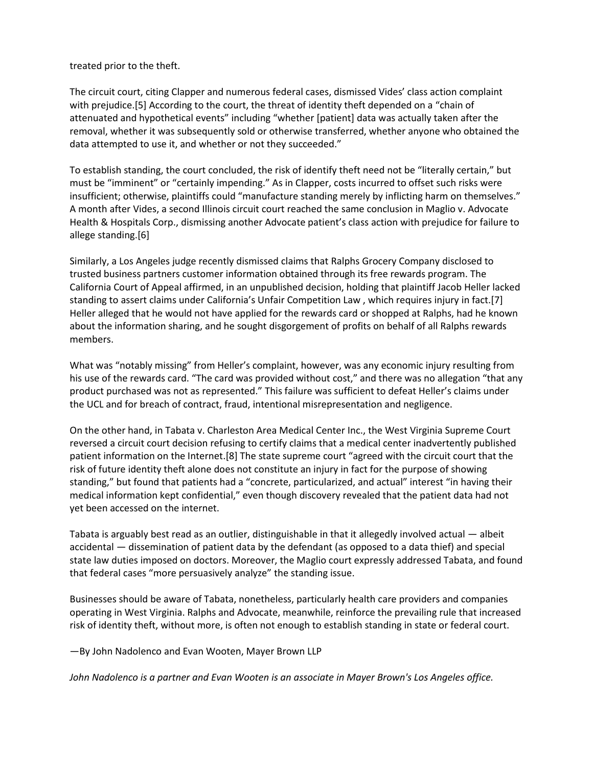treated prior to the theft.

The circuit court, citing Clapper and numerous federal cases, dismissed Vides' class action complaint with prejudice.[5] According to the court, the threat of identity theft depended on a "chain of attenuated and hypothetical events" including "whether [patient] data was actually taken after the removal, whether it was subsequently sold or otherwise transferred, whether anyone who obtained the data attempted to use it, and whether or not they succeeded."

To establish standing, the court concluded, the risk of identify theft need not be "literally certain," but must be "imminent" or "certainly impending." As in Clapper, costs incurred to offset such risks were insufficient; otherwise, plaintiffs could "manufacture standing merely by inflicting harm on themselves." A month after Vides, a second Illinois circuit court reached the same conclusion in Maglio v. Advocate Health & Hospitals Corp., dismissing another Advocate patient's class action with prejudice for failure to allege standing.[6]

Similarly, a Los Angeles judge recently dismissed claims that Ralphs Grocery Company disclosed to trusted business partners customer information obtained through its free rewards program. The California Court of Appeal affirmed, in an unpublished decision, holding that plaintiff Jacob Heller lacked standing to assert claims under California's Unfair Competition Law , which requires injury in fact.[7] Heller alleged that he would not have applied for the rewards card or shopped at Ralphs, had he known about the information sharing, and he sought disgorgement of profits on behalf of all Ralphs rewards members.

What was "notably missing" from Heller's complaint, however, was any economic injury resulting from his use of the rewards card. "The card was provided without cost," and there was no allegation "that any product purchased was not as represented." This failure was sufficient to defeat Heller's claims under the UCL and for breach of contract, fraud, intentional misrepresentation and negligence.

On the other hand, in Tabata v. Charleston Area Medical Center Inc., the West Virginia Supreme Court reversed a circuit court decision refusing to certify claims that a medical center inadvertently published patient information on the Internet.[8] The state supreme court "agreed with the circuit court that the risk of future identity theft alone does not constitute an injury in fact for the purpose of showing standing," but found that patients had a "concrete, particularized, and actual" interest "in having their medical information kept confidential," even though discovery revealed that the patient data had not yet been accessed on the internet.

Tabata is arguably best read as an outlier, distinguishable in that it allegedly involved actual — albeit accidental — dissemination of patient data by the defendant (as opposed to a data thief) and special state law duties imposed on doctors. Moreover, the Maglio court expressly addressed Tabata, and found that federal cases "more persuasively analyze" the standing issue.

Businesses should be aware of Tabata, nonetheless, particularly health care providers and companies operating in West Virginia. Ralphs and Advocate, meanwhile, reinforce the prevailing rule that increased risk of identity theft, without more, is often not enough to establish standing in state or federal court.

—By John Nadolenco and Evan Wooten, Mayer Brown LLP

*John Nadolenco is a partner and Evan Wooten is an associate in Mayer Brown's Los Angeles office.*